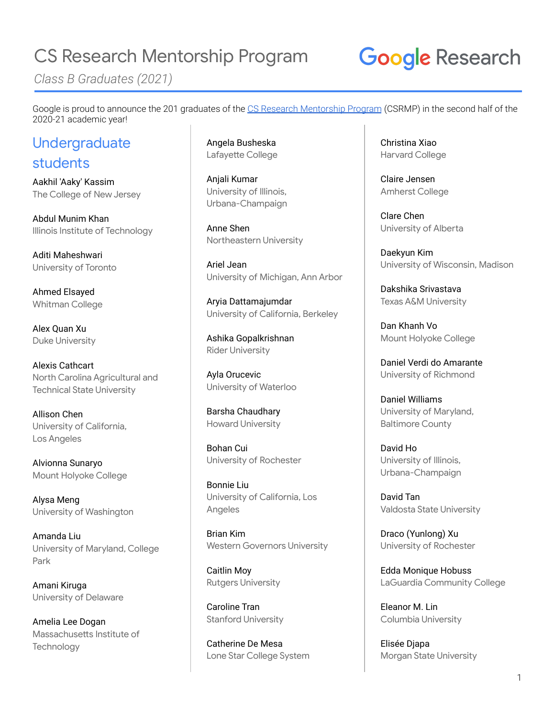*Class B Graduates (2021)*

# **Google Research**

Google is proud to announce the 201 graduates of the CS Research [Mentorship](http://g.co/csrmp) Program (CSRMP) in the second half of the 2020-21 academic year!

#### Undergraduate students

Aakhil 'Aaky' Kassim The College of New Jersey

Abdul Munim Khan Illinois Institute of Technology

Aditi Maheshwari University of Toronto

Ahmed Elsayed Whitman College

Alex Quan Xu Duke University

Alexis Cathcart North Carolina Agricultural and Technical State University

Allison Chen University of California, Los Angeles

Alvionna Sunaryo Mount Holyoke College

Alysa Meng University of Washington

Amanda Liu University of Maryland, College Park

Amani Kiruga University of Delaware

Amelia Lee Dogan Massachusetts Institute of **Technology** 

Angela Busheska Lafayette College

Anjali Kumar University of Illinois, Urbana-Champaign

Anne Shen Northeastern University

Ariel Jean University of Michigan, Ann Arbor

Aryia Dattamajumdar University of California, Berkeley

Ashika Gopalkrishnan Rider University

Ayla Orucevic University of Waterloo

Barsha Chaudhary Howard University

Bohan Cui University of Rochester

Bonnie Liu University of California, Los Angeles

Brian Kim Western Governors University

Caitlin Moy Rutgers University

Caroline Tran Stanford University

Catherine De Mesa Lone Star College System Christina Xiao Harvard College

Claire Jensen Amherst College

Clare Chen University of Alberta

Daekyun Kim University of Wisconsin, Madison

Dakshika Srivastava Texas A&M University

Dan Khanh Vo Mount Holyoke College

Daniel Verdi do Amarante University of Richmond

Daniel Williams University of Maryland, Baltimore County

David Ho University of Illinois, Urbana-Champaign

David Tan Valdosta State University

Draco (Yunlong) Xu University of Rochester

Edda Monique Hobuss LaGuardia Community College

Eleanor M. Lin Columbia University

Elisée Djapa Morgan State University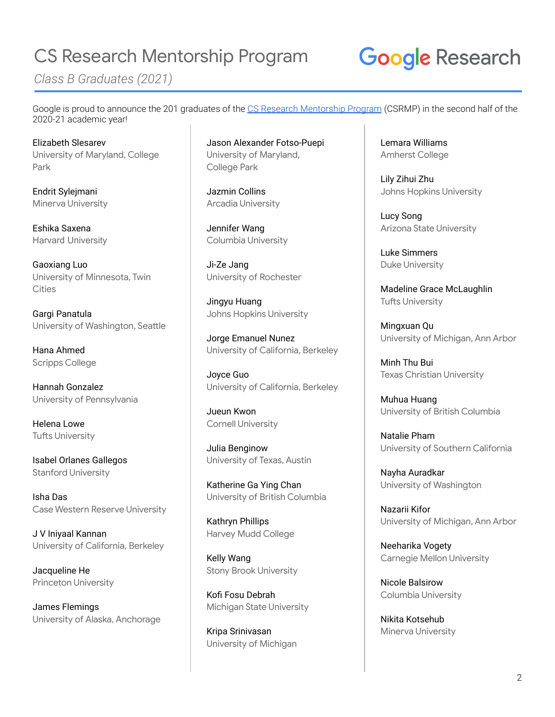*Class B Graduates (2021)*

# **Google Research**

Google is proud to announce the 201 graduates of the CS Research [Mentorship](http://g.co/csrmp) Program (CSRMP) in the second half of the 2020-21 academic year!

Elizabeth Slesarev University of Maryland, College Park

Endrit Sylejmani Minerva University

Eshika Saxena Harvard University

Gaoxiang Luo University of Minnesota, Twin **Cities** 

Gargi Panatula University of Washington, Seattle

Hana Ahmed Scripps College

Hannah Gonzalez University of Pennsylvania

Helena Lowe Tufts University

Isabel Orlanes Gallegos Stanford University

Isha Das Case Western Reserve University

J V Iniyaal Kannan University of California, Berkeley

Jacqueline He Princeton University

James Flemings University of Alaska, Anchorage Jason Alexander Fotso-Puepi University of Maryland, College Park

Jazmin Collins Arcadia University

Jennifer Wang Columbia University

Ji-Ze Jang University of Rochester

Jingyu Huang Johns Hopkins University

Jorge Emanuel Nunez University of California, Berkeley

Joyce Guo University of California, Berkeley

Jueun Kwon Cornell University

Julia Benginow University of Texas, Austin

Katherine Ga Ying Chan University of British Columbia

Kathryn Phillips Harvey Mudd College

Kelly Wang Stony Brook University

Kofi Fosu Debrah Michigan State University

Kripa Srinivasan University of Michigan Lemara Williams Amherst College

Lily Zihui Zhu Johns Hopkins University

Lucy Song Arizona State University

Luke Simmers Duke University

Madeline Grace McLaughlin Tufts University

Mingxuan Qu University of Michigan, Ann Arbor

Minh Thu Bui Texas Christian University

Muhua Huang University of British Columbia

Natalie Pham University of Southern California

Nayha Auradkar University of Washington

Nazarii Kifor University of Michigan, Ann Arbor

Neeharika Vogety Carnegie Mellon University

Nicole Balsirow Columbia University

Nikita Kotsehub Minerva University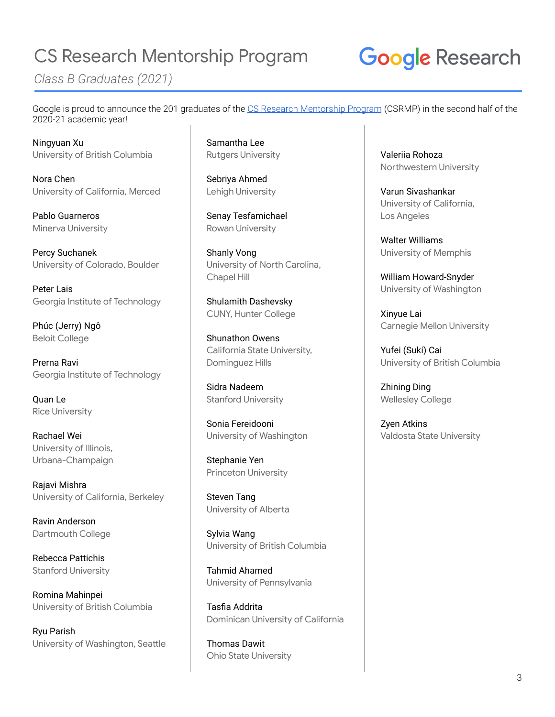*Class B Graduates (2021)*

# **Google Research**

Google is proud to announce the 201 graduates of the CS Research [Mentorship](http://g.co/csrmp) Program (CSRMP) in the second half of the 2020-21 academic year!

Ningyuan Xu University of British Columbia

Nora Chen University of California, Merced

Pablo Guarneros Minerva University

Percy Suchanek University of Colorado, Boulder

Peter Lais Georgia Institute of Technology

Phúc (Jerry) Ngô Beloit College

Prerna Ravi Georgia Institute of Technology

Quan Le Rice University

Rachael Wei University of Illinois, Urbana-Champaign

Rajavi Mishra University of California, Berkeley

Ravin Anderson Dartmouth College

Rebecca Pattichis Stanford University

Romina Mahinpei University of British Columbia

Ryu Parish University of Washington, Seattle Samantha Lee Rutgers University

Sebriya Ahmed Lehigh University

Senay Tesfamichael Rowan University

Shanly Vong University of North Carolina, Chapel Hill

Shulamith Dashevsky CUNY, Hunter College

Shunathon Owens California State University, Dominguez Hills

Sidra Nadeem Stanford University

Sonia Fereidooni University of Washington

Stephanie Yen Princeton University

Steven Tang University of Alberta

Sylvia Wang University of British Columbia

Tahmid Ahamed University of Pennsylvania

Tasfia Addrita Dominican University of California

Thomas Dawit Ohio State University Valeriia Rohoza Northwestern University

Varun Sivashankar University of California, Los Angeles

Walter Williams University of Memphis

William Howard-Snyder University of Washington

Xinyue Lai Carnegie Mellon University

Yufei (Suki) Cai University of British Columbia

Zhining Ding Wellesley College

Zyen Atkins Valdosta State University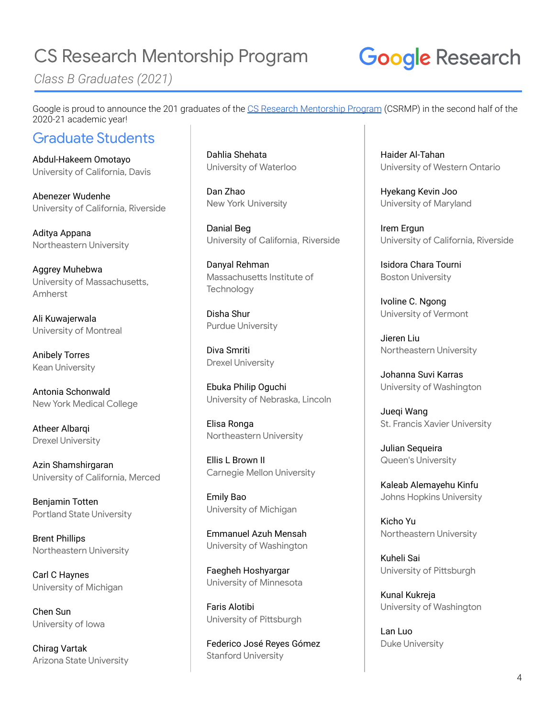*Class B Graduates (2021)*

## **Google Research**

Google is proud to announce the 201 graduates of the CS Research [Mentorship](http://g.co/csrmp) Program (CSRMP) in the second half of the 2020-21 academic year!

#### Graduate Students

Abdul-Hakeem Omotayo University of California, Davis

Abenezer Wudenhe University of California, Riverside

Aditya Appana Northeastern University

Aggrey Muhebwa University of Massachusetts, Amherst

Ali Kuwajerwala University of Montreal

Anibely Torres Kean University

Antonia Schonwald New York Medical College

Atheer Albarqi Drexel University

Azin Shamshirgaran University of California, Merced

Benjamin Totten Portland State University

Brent Phillips Northeastern University

Carl C Haynes University of Michigan

Chen Sun University of Iowa

Chirag Vartak Arizona State University Dahlia Shehata University of Waterloo

Dan Zhao New York University

Danial Beg University of California, Riverside

Danyal Rehman Massachusetts Institute of **Technology** 

Disha Shur Purdue University

Diva Smriti Drexel University

Ebuka Philip Oguchi University of Nebraska, Lincoln

Elisa Ronga Northeastern University

Ellis L Brown II Carnegie Mellon University

Emily Bao University of Michigan

Emmanuel Azuh Mensah University of Washington

Faegheh Hoshyargar University of Minnesota

Faris Alotibi University of Pittsburgh

Federico José Reyes Gómez Stanford University

Haider Al-Tahan University of Western Ontario

Hyekang Kevin Joo University of Maryland

Irem Ergun University of California, Riverside

Isidora Chara Tourni Boston University

Ivoline C. Ngong University of Vermont

Jieren Liu Northeastern University

Johanna Suvi Karras University of Washington

Jueqi Wang St. Francis Xavier University

Julian Sequeira Queen's University

Kaleab Alemayehu Kinfu Johns Hopkins University

Kicho Yu Northeastern University

Kuheli Sai University of Pittsburgh

Kunal Kukreja University of Washington

Lan Luo Duke University